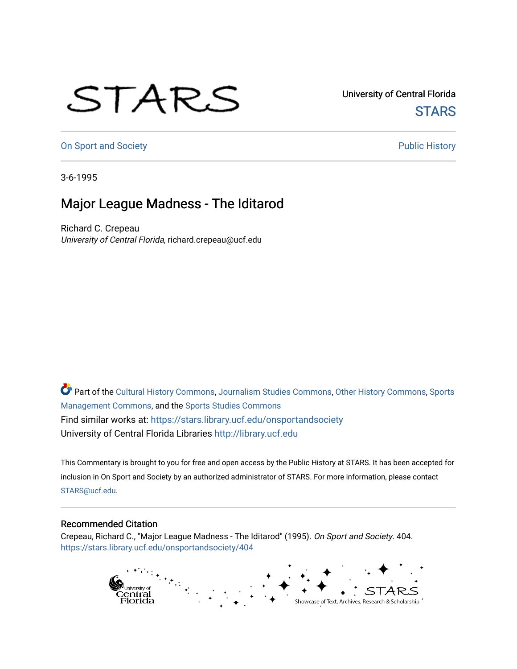## STARS

University of Central Florida **STARS** 

[On Sport and Society](https://stars.library.ucf.edu/onsportandsociety) **Public History** Public History

3-6-1995

## Major League Madness - The Iditarod

Richard C. Crepeau University of Central Florida, richard.crepeau@ucf.edu

Part of the [Cultural History Commons](http://network.bepress.com/hgg/discipline/496?utm_source=stars.library.ucf.edu%2Fonsportandsociety%2F404&utm_medium=PDF&utm_campaign=PDFCoverPages), [Journalism Studies Commons,](http://network.bepress.com/hgg/discipline/333?utm_source=stars.library.ucf.edu%2Fonsportandsociety%2F404&utm_medium=PDF&utm_campaign=PDFCoverPages) [Other History Commons,](http://network.bepress.com/hgg/discipline/508?utm_source=stars.library.ucf.edu%2Fonsportandsociety%2F404&utm_medium=PDF&utm_campaign=PDFCoverPages) [Sports](http://network.bepress.com/hgg/discipline/1193?utm_source=stars.library.ucf.edu%2Fonsportandsociety%2F404&utm_medium=PDF&utm_campaign=PDFCoverPages) [Management Commons](http://network.bepress.com/hgg/discipline/1193?utm_source=stars.library.ucf.edu%2Fonsportandsociety%2F404&utm_medium=PDF&utm_campaign=PDFCoverPages), and the [Sports Studies Commons](http://network.bepress.com/hgg/discipline/1198?utm_source=stars.library.ucf.edu%2Fonsportandsociety%2F404&utm_medium=PDF&utm_campaign=PDFCoverPages) Find similar works at: <https://stars.library.ucf.edu/onsportandsociety> University of Central Florida Libraries [http://library.ucf.edu](http://library.ucf.edu/) 

This Commentary is brought to you for free and open access by the Public History at STARS. It has been accepted for inclusion in On Sport and Society by an authorized administrator of STARS. For more information, please contact [STARS@ucf.edu](mailto:STARS@ucf.edu).

## Recommended Citation

Crepeau, Richard C., "Major League Madness - The Iditarod" (1995). On Sport and Society. 404. [https://stars.library.ucf.edu/onsportandsociety/404](https://stars.library.ucf.edu/onsportandsociety/404?utm_source=stars.library.ucf.edu%2Fonsportandsociety%2F404&utm_medium=PDF&utm_campaign=PDFCoverPages)

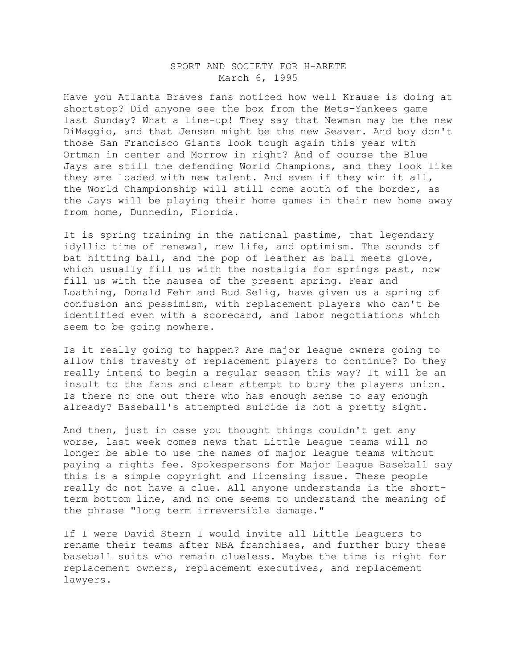## SPORT AND SOCIETY FOR H-ARETE March 6, 1995

Have you Atlanta Braves fans noticed how well Krause is doing at shortstop? Did anyone see the box from the Mets-Yankees game last Sunday? What a line-up! They say that Newman may be the new DiMaggio, and that Jensen might be the new Seaver. And boy don't those San Francisco Giants look tough again this year with Ortman in center and Morrow in right? And of course the Blue Jays are still the defending World Champions, and they look like they are loaded with new talent. And even if they win it all, the World Championship will still come south of the border, as the Jays will be playing their home games in their new home away from home, Dunnedin, Florida.

It is spring training in the national pastime, that legendary idyllic time of renewal, new life, and optimism. The sounds of bat hitting ball, and the pop of leather as ball meets glove, which usually fill us with the nostalgia for springs past, now fill us with the nausea of the present spring. Fear and Loathing, Donald Fehr and Bud Selig, have given us a spring of confusion and pessimism, with replacement players who can't be identified even with a scorecard, and labor negotiations which seem to be going nowhere.

Is it really going to happen? Are major league owners going to allow this travesty of replacement players to continue? Do they really intend to begin a regular season this way? It will be an insult to the fans and clear attempt to bury the players union. Is there no one out there who has enough sense to say enough already? Baseball's attempted suicide is not a pretty sight.

And then, just in case you thought things couldn't get any worse, last week comes news that Little League teams will no longer be able to use the names of major league teams without paying a rights fee. Spokespersons for Major League Baseball say this is a simple copyright and licensing issue. These people really do not have a clue. All anyone understands is the shortterm bottom line, and no one seems to understand the meaning of the phrase "long term irreversible damage."

If I were David Stern I would invite all Little Leaguers to rename their teams after NBA franchises, and further bury these baseball suits who remain clueless. Maybe the time is right for replacement owners, replacement executives, and replacement lawyers.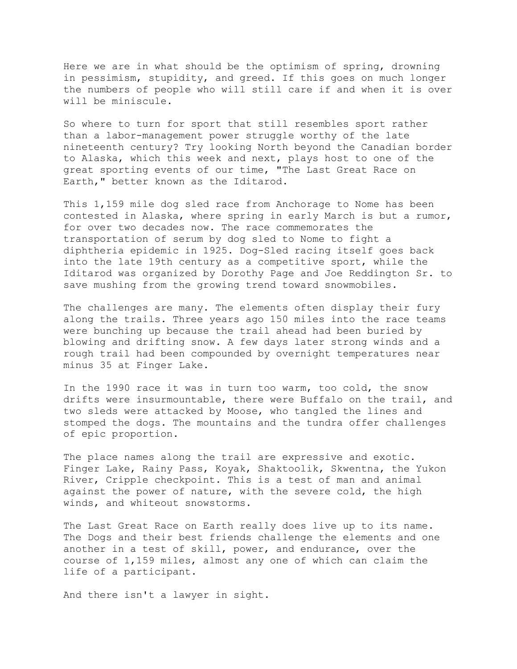Here we are in what should be the optimism of spring, drowning in pessimism, stupidity, and greed. If this goes on much longer the numbers of people who will still care if and when it is over will be miniscule.

So where to turn for sport that still resembles sport rather than a labor-management power struggle worthy of the late nineteenth century? Try looking North beyond the Canadian border to Alaska, which this week and next, plays host to one of the great sporting events of our time, "The Last Great Race on Earth," better known as the Iditarod.

This 1,159 mile dog sled race from Anchorage to Nome has been contested in Alaska, where spring in early March is but a rumor, for over two decades now. The race commemorates the transportation of serum by dog sled to Nome to fight a diphtheria epidemic in 1925. Dog-Sled racing itself goes back into the late 19th century as a competitive sport, while the Iditarod was organized by Dorothy Page and Joe Reddington Sr. to save mushing from the growing trend toward snowmobiles.

The challenges are many. The elements often display their fury along the trails. Three years ago 150 miles into the race teams were bunching up because the trail ahead had been buried by blowing and drifting snow. A few days later strong winds and a rough trail had been compounded by overnight temperatures near minus 35 at Finger Lake.

In the 1990 race it was in turn too warm, too cold, the snow drifts were insurmountable, there were Buffalo on the trail, and two sleds were attacked by Moose, who tangled the lines and stomped the dogs. The mountains and the tundra offer challenges of epic proportion.

The place names along the trail are expressive and exotic. Finger Lake, Rainy Pass, Koyak, Shaktoolik, Skwentna, the Yukon River, Cripple checkpoint. This is a test of man and animal against the power of nature, with the severe cold, the high winds, and whiteout snowstorms.

The Last Great Race on Earth really does live up to its name. The Dogs and their best friends challenge the elements and one another in a test of skill, power, and endurance, over the course of 1,159 miles, almost any one of which can claim the life of a participant.

And there isn't a lawyer in sight.